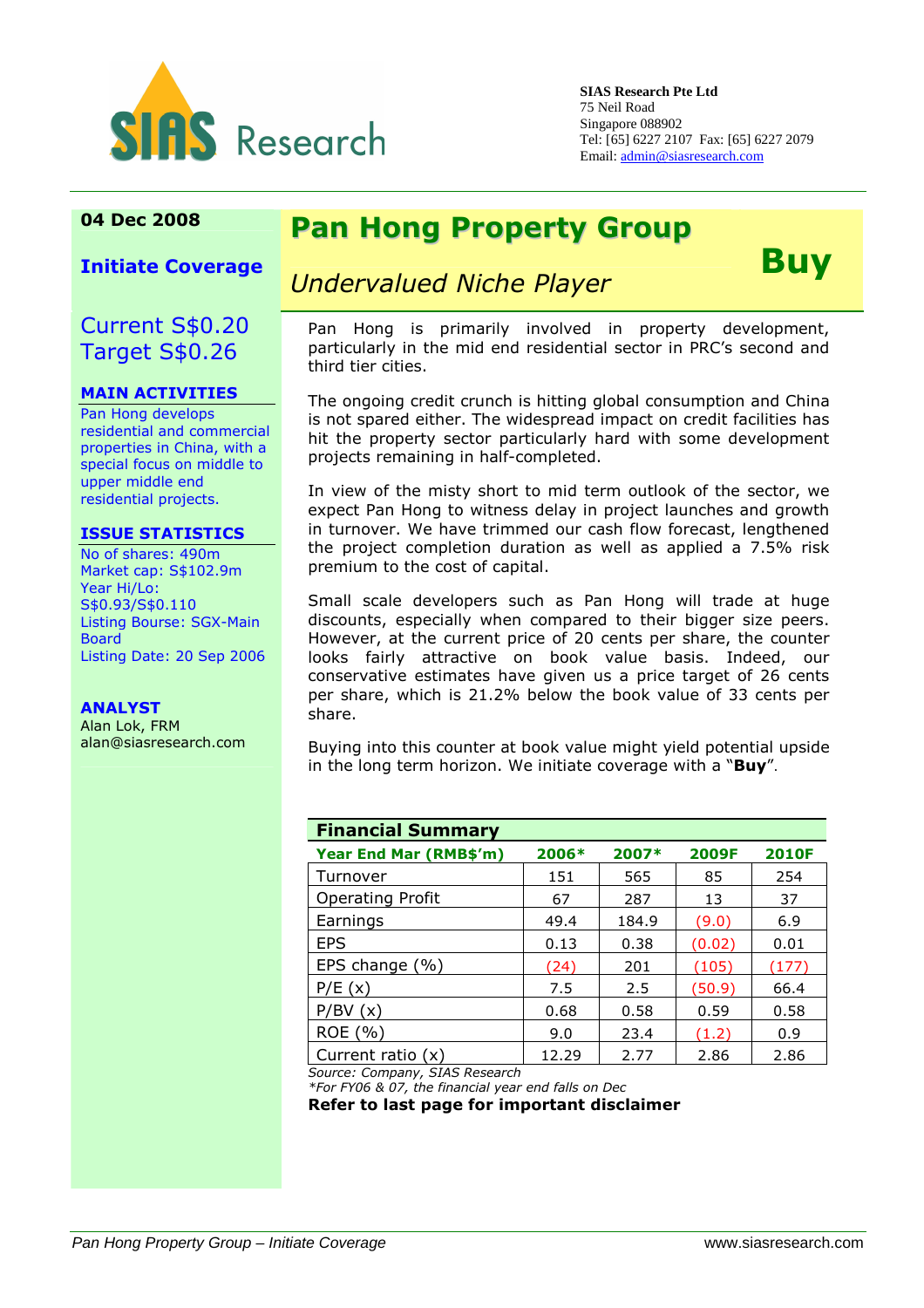

**SIAS Research Pte Ltd**  75 Neil Road Singapore 088902 Tel: [65] 6227 2107 Fax: [65] 6227 2079 Email: admin@siasresearch.com

## 04 Dec 2008 Pan Hong Property Group

Initiate Coverage

### Current S\$0.20 Target S\$0.26

#### MAIN ACTIVITIES

Pan Hong develops residential and commercial properties in China, with a special focus on middle to upper middle end residential projects.

#### ISSUE STATISTICS

No of shares: 490m Market cap: S\$102.9m Year Hi/Lo: S\$0.93/S\$0.110 Listing Bourse: SGX-Main Board Listing Date: 20 Sep 2006

### ANALYST

Alan Lok, FRM alan@siasresearch.com

# Undervalued Niche Player **Buy**

Pan Hong is primarily involved in property development, particularly in the mid end residential sector in PRC's second and third tier cities.

The ongoing credit crunch is hitting global consumption and China is not spared either. The widespread impact on credit facilities has hit the property sector particularly hard with some development projects remaining in half-completed.

In view of the misty short to mid term outlook of the sector, we expect Pan Hong to witness delay in project launches and growth in turnover. We have trimmed our cash flow forecast, lengthened the project completion duration as well as applied a 7.5% risk premium to the cost of capital.

Small scale developers such as Pan Hong will trade at huge discounts, especially when compared to their bigger size peers. However, at the current price of 20 cents per share, the counter looks fairly attractive on book value basis. Indeed, our conservative estimates have given us a price target of 26 cents per share, which is 21.2% below the book value of 33 cents per share.

Buying into this counter at book value might yield potential upside in the long term horizon. We initiate coverage with a "Buy".

| <b>Financial Summary</b> |       |       |        |              |  |
|--------------------------|-------|-------|--------|--------------|--|
| Year End Mar (RMB\$'m)   | 2006* | 2007* | 2009F  | <b>2010F</b> |  |
| Turnover                 | 151   | 565   | 85     | 254          |  |
| <b>Operating Profit</b>  | 67    | 287   | 13     | 37           |  |
| Earnings                 | 49.4  | 184.9 | (9.0)  | 6.9          |  |
| <b>EPS</b>               | 0.13  | 0.38  | (0.02) | 0.01         |  |
| EPS change (%)           | (24)  | 201   | (105)  | (177)        |  |
| P/E(x)                   | 7.5   | 2.5   | (50.9) | 66.4         |  |
| P/BV(x)                  | 0.68  | 0.58  | 0.59   | 0.58         |  |
| ROE (%)                  | 9.0   | 23.4  | (1.2)  | 0.9          |  |
| Current ratio $(x)$      | 12.29 | 2.77  | 2.86   | 2.86         |  |

Source: Company, SIAS Research

\*For FY06 & 07, the financial year end falls on Dec

Refer to last page for important disclaimer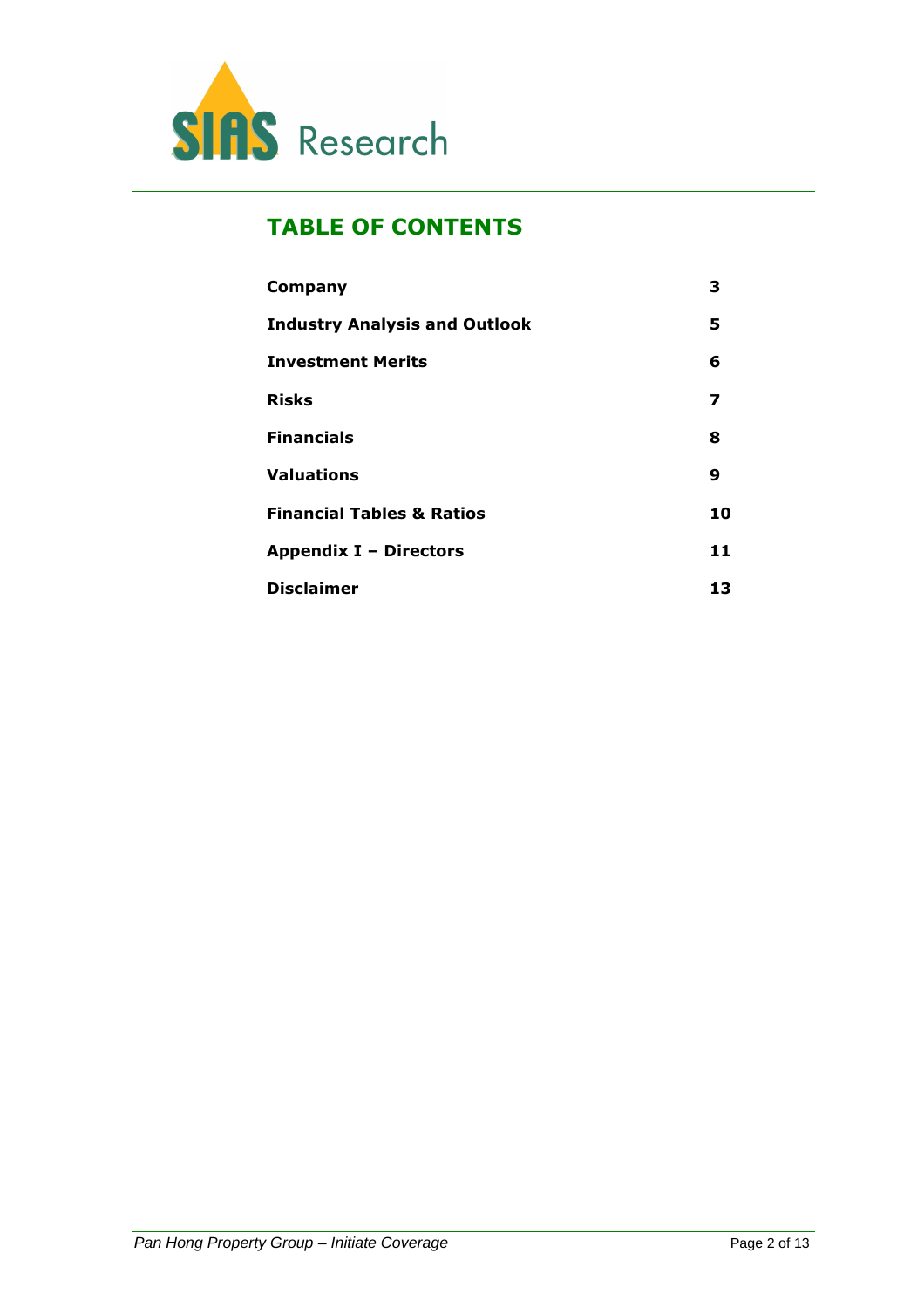

### TABLE OF CONTENTS

| Company                              | 3  |
|--------------------------------------|----|
| <b>Industry Analysis and Outlook</b> | 5  |
| <b>Investment Merits</b>             | 6  |
| <b>Risks</b>                         | 7  |
| <b>Financials</b>                    | 8  |
| <b>Valuations</b>                    | 9  |
| <b>Financial Tables &amp; Ratios</b> | 10 |
| <b>Appendix I - Directors</b>        | 11 |
| <b>Disclaimer</b>                    | 13 |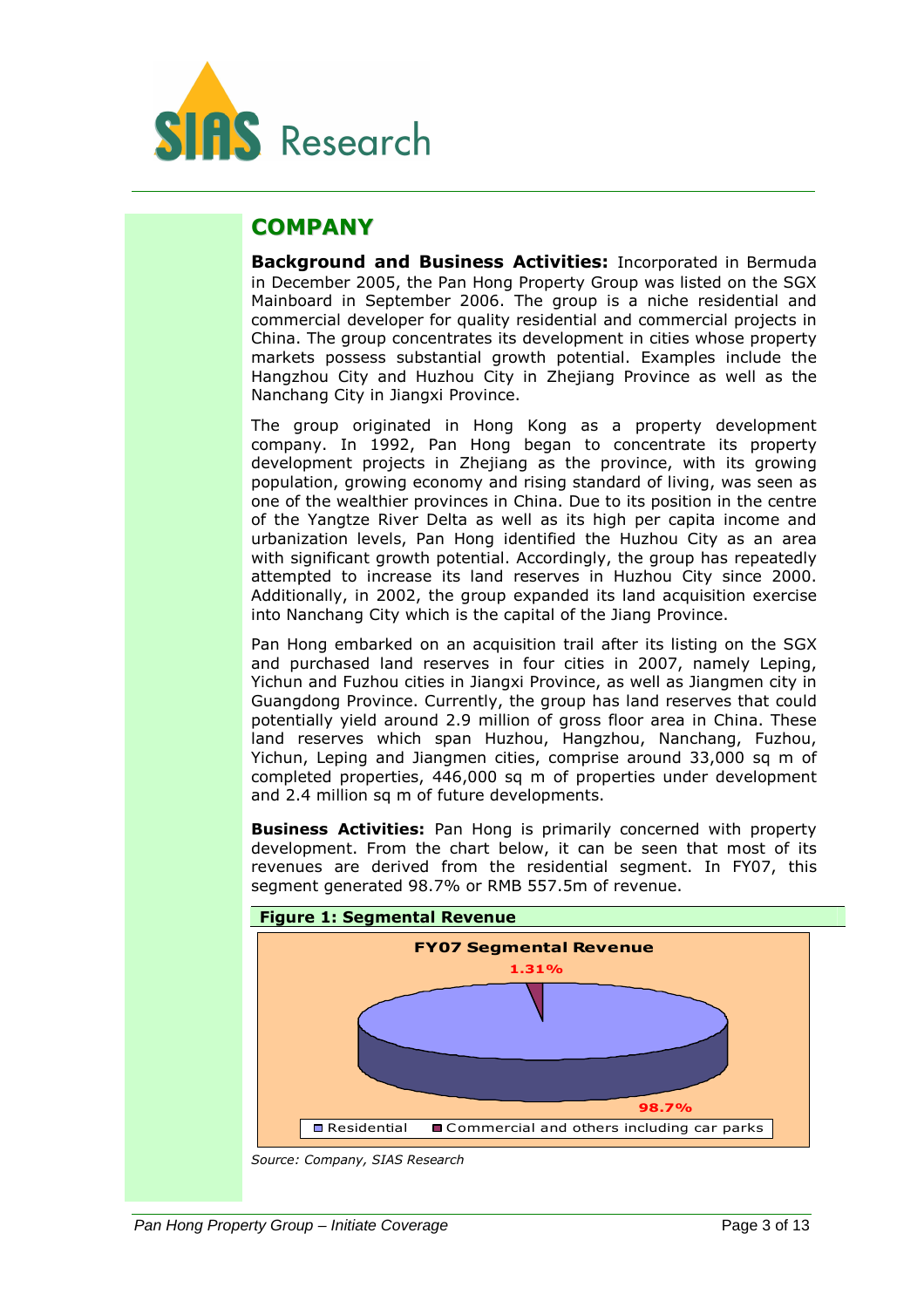

### **COMPANY**

Background and Business Activities: Incorporated in Bermuda in December 2005, the Pan Hong Property Group was listed on the SGX Mainboard in September 2006. The group is a niche residential and commercial developer for quality residential and commercial projects in China. The group concentrates its development in cities whose property markets possess substantial growth potential. Examples include the Hangzhou City and Huzhou City in Zhejiang Province as well as the Nanchang City in Jiangxi Province.

The group originated in Hong Kong as a property development company. In 1992, Pan Hong began to concentrate its property development projects in Zhejiang as the province, with its growing population, growing economy and rising standard of living, was seen as one of the wealthier provinces in China. Due to its position in the centre of the Yangtze River Delta as well as its high per capita income and urbanization levels, Pan Hong identified the Huzhou City as an area with significant growth potential. Accordingly, the group has repeatedly attempted to increase its land reserves in Huzhou City since 2000. Additionally, in 2002, the group expanded its land acquisition exercise into Nanchang City which is the capital of the Jiang Province.

Pan Hong embarked on an acquisition trail after its listing on the SGX and purchased land reserves in four cities in 2007, namely Leping, Yichun and Fuzhou cities in Jiangxi Province, as well as Jiangmen city in Guangdong Province. Currently, the group has land reserves that could potentially yield around 2.9 million of gross floor area in China. These land reserves which span Huzhou, Hangzhou, Nanchang, Fuzhou, Yichun, Leping and Jiangmen cities, comprise around 33,000 sq m of completed properties, 446,000 sq m of properties under development and 2.4 million sq m of future developments.

**Business Activities:** Pan Hong is primarily concerned with property development. From the chart below, it can be seen that most of its revenues are derived from the residential segment. In FY07, this segment generated 98.7% or RMB 557.5m of revenue.



Source: Company, SIAS Research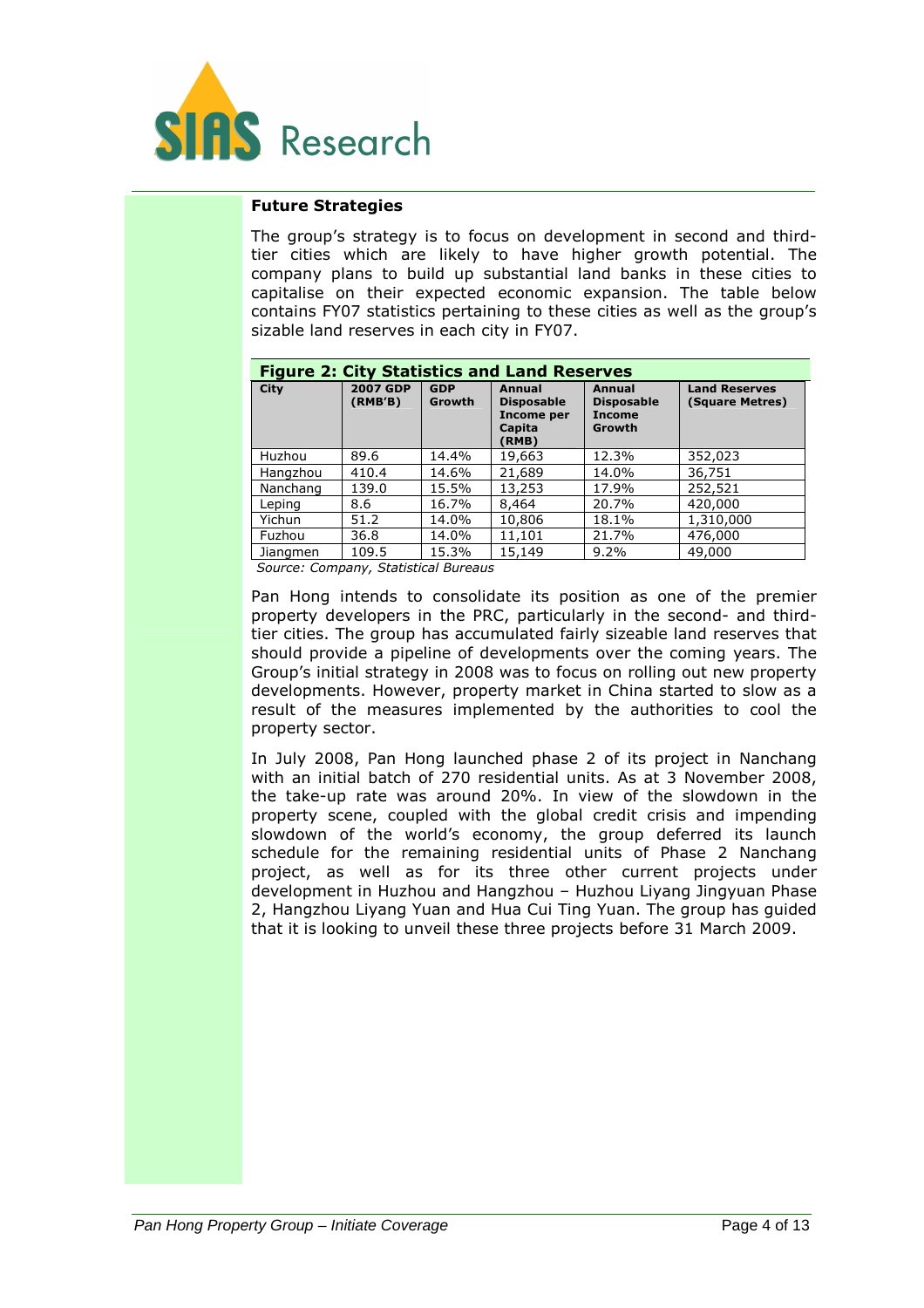

#### Future Strategies

The group's strategy is to focus on development in second and thirdtier cities which are likely to have higher growth potential. The company plans to build up substantial land banks in these cities to capitalise on their expected economic expansion. The table below contains FY07 statistics pertaining to these cities as well as the group's sizable land reserves in each city in FY07.

| <b>Figure 2: City Statistics and Land Reserves</b> |                            |                      |                                                                     |                                                        |                                         |
|----------------------------------------------------|----------------------------|----------------------|---------------------------------------------------------------------|--------------------------------------------------------|-----------------------------------------|
| <b>City</b>                                        | <b>2007 GDP</b><br>(RMB'B) | <b>GDP</b><br>Growth | Annual<br><b>Disposable</b><br>Income per<br>Capita<br><b>RMB</b> ) | Annual<br><b>Disposable</b><br><b>Income</b><br>Growth | <b>Land Reserves</b><br>(Square Metres) |
| Huzhou                                             | 89.6                       | 14.4%                | 19,663                                                              | 12.3%                                                  | 352,023                                 |
| Hangzhou                                           | 410.4                      | 14.6%                | 21,689                                                              | 14.0%                                                  | 36,751                                  |
| Nanchang                                           | 139.0                      | 15.5%                | 13,253                                                              | 17.9%                                                  | 252,521                                 |
| Leping                                             | 8.6                        | 16.7%                | 8,464                                                               | 20.7%                                                  | 420,000                                 |
| Yichun                                             | 51.2                       | 14.0%                | 10,806                                                              | 18.1%                                                  | 1,310,000                               |
| Fuzhou                                             | 36.8                       | 14.0%                | 11,101                                                              | 21.7%                                                  | 476,000                                 |
| Jiangmen                                           | 109.5                      | 15.3%                | 15,149                                                              | $9.2\%$                                                | 49,000                                  |

Source: Company, Statistical Bureaus

Pan Hong intends to consolidate its position as one of the premier property developers in the PRC, particularly in the second- and thirdtier cities. The group has accumulated fairly sizeable land reserves that should provide a pipeline of developments over the coming years. The Group's initial strategy in 2008 was to focus on rolling out new property developments. However, property market in China started to slow as a result of the measures implemented by the authorities to cool the property sector.

In July 2008, Pan Hong launched phase 2 of its project in Nanchang with an initial batch of 270 residential units. As at 3 November 2008, the take-up rate was around 20%. In view of the slowdown in the property scene, coupled with the global credit crisis and impending slowdown of the world's economy, the group deferred its launch schedule for the remaining residential units of Phase 2 Nanchang project, as well as for its three other current projects under development in Huzhou and Hangzhou – Huzhou Liyang Jingyuan Phase 2, Hangzhou Liyang Yuan and Hua Cui Ting Yuan. The group has guided that it is looking to unveil these three projects before 31 March 2009.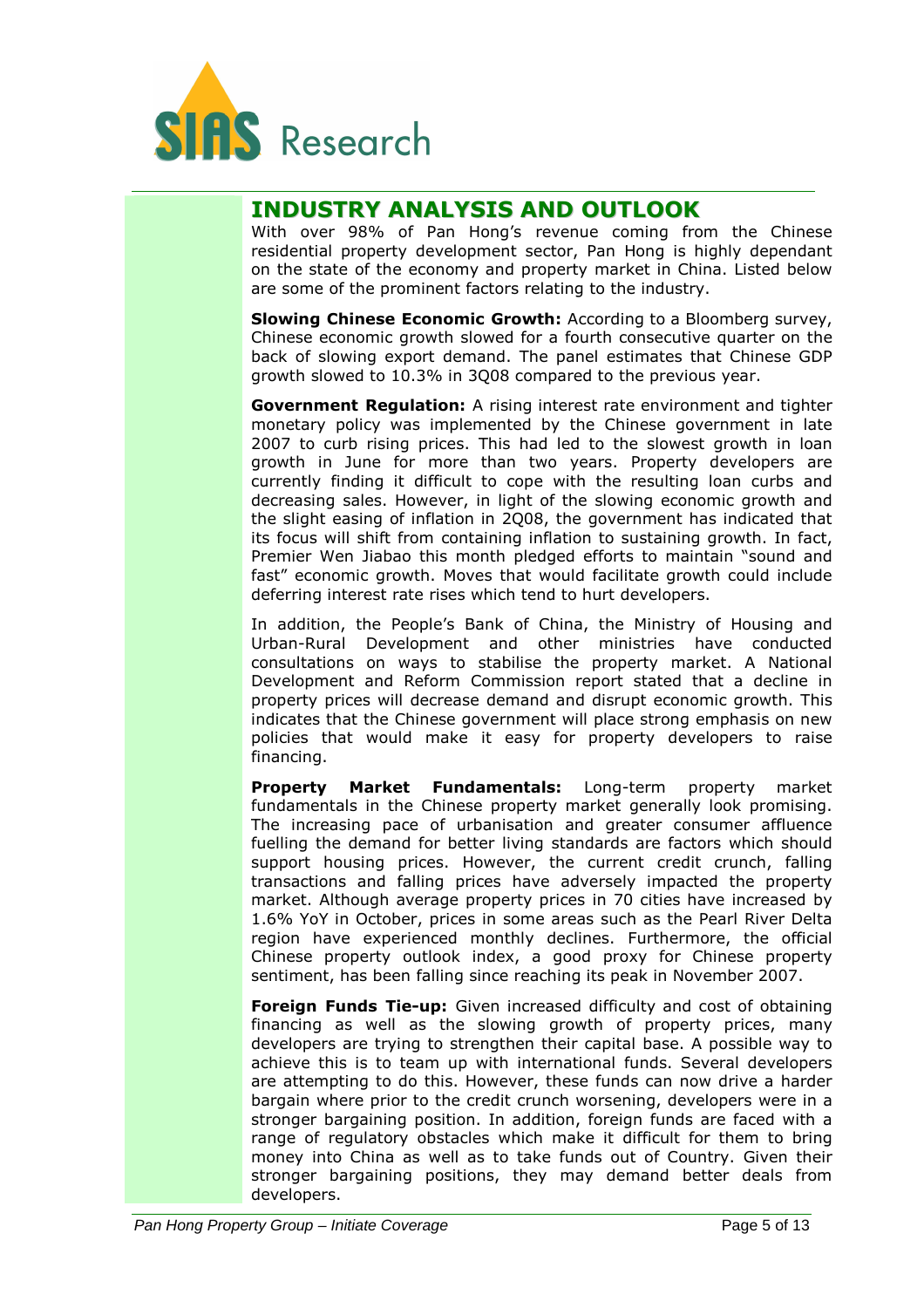

### INDUSTRY ANALYSIS AND OUTLOOK

With over 98% of Pan Hong's revenue coming from the Chinese residential property development sector, Pan Hong is highly dependant on the state of the economy and property market in China. Listed below are some of the prominent factors relating to the industry.

Slowing Chinese Economic Growth: According to a Bloomberg survey, Chinese economic growth slowed for a fourth consecutive quarter on the back of slowing export demand. The panel estimates that Chinese GDP growth slowed to 10.3% in 3Q08 compared to the previous year.

Government Regulation: A rising interest rate environment and tighter monetary policy was implemented by the Chinese government in late 2007 to curb rising prices. This had led to the slowest growth in loan growth in June for more than two years. Property developers are currently finding it difficult to cope with the resulting loan curbs and decreasing sales. However, in light of the slowing economic growth and the slight easing of inflation in 2Q08, the government has indicated that its focus will shift from containing inflation to sustaining growth. In fact, Premier Wen Jiabao this month pledged efforts to maintain "sound and fast" economic growth. Moves that would facilitate growth could include deferring interest rate rises which tend to hurt developers.

In addition, the People's Bank of China, the Ministry of Housing and Urban-Rural Development and other ministries have conducted consultations on ways to stabilise the property market. A National Development and Reform Commission report stated that a decline in property prices will decrease demand and disrupt economic growth. This indicates that the Chinese government will place strong emphasis on new policies that would make it easy for property developers to raise financing.

Property Market Fundamentals: Long-term property market fundamentals in the Chinese property market generally look promising. The increasing pace of urbanisation and greater consumer affluence fuelling the demand for better living standards are factors which should support housing prices. However, the current credit crunch, falling transactions and falling prices have adversely impacted the property market. Although average property prices in 70 cities have increased by 1.6% YoY in October, prices in some areas such as the Pearl River Delta region have experienced monthly declines. Furthermore, the official Chinese property outlook index, a good proxy for Chinese property sentiment, has been falling since reaching its peak in November 2007.

**Foreign Funds Tie-up:** Given increased difficulty and cost of obtaining financing as well as the slowing growth of property prices, many developers are trying to strengthen their capital base. A possible way to achieve this is to team up with international funds. Several developers are attempting to do this. However, these funds can now drive a harder bargain where prior to the credit crunch worsening, developers were in a stronger bargaining position. In addition, foreign funds are faced with a range of regulatory obstacles which make it difficult for them to bring money into China as well as to take funds out of Country. Given their stronger bargaining positions, they may demand better deals from developers.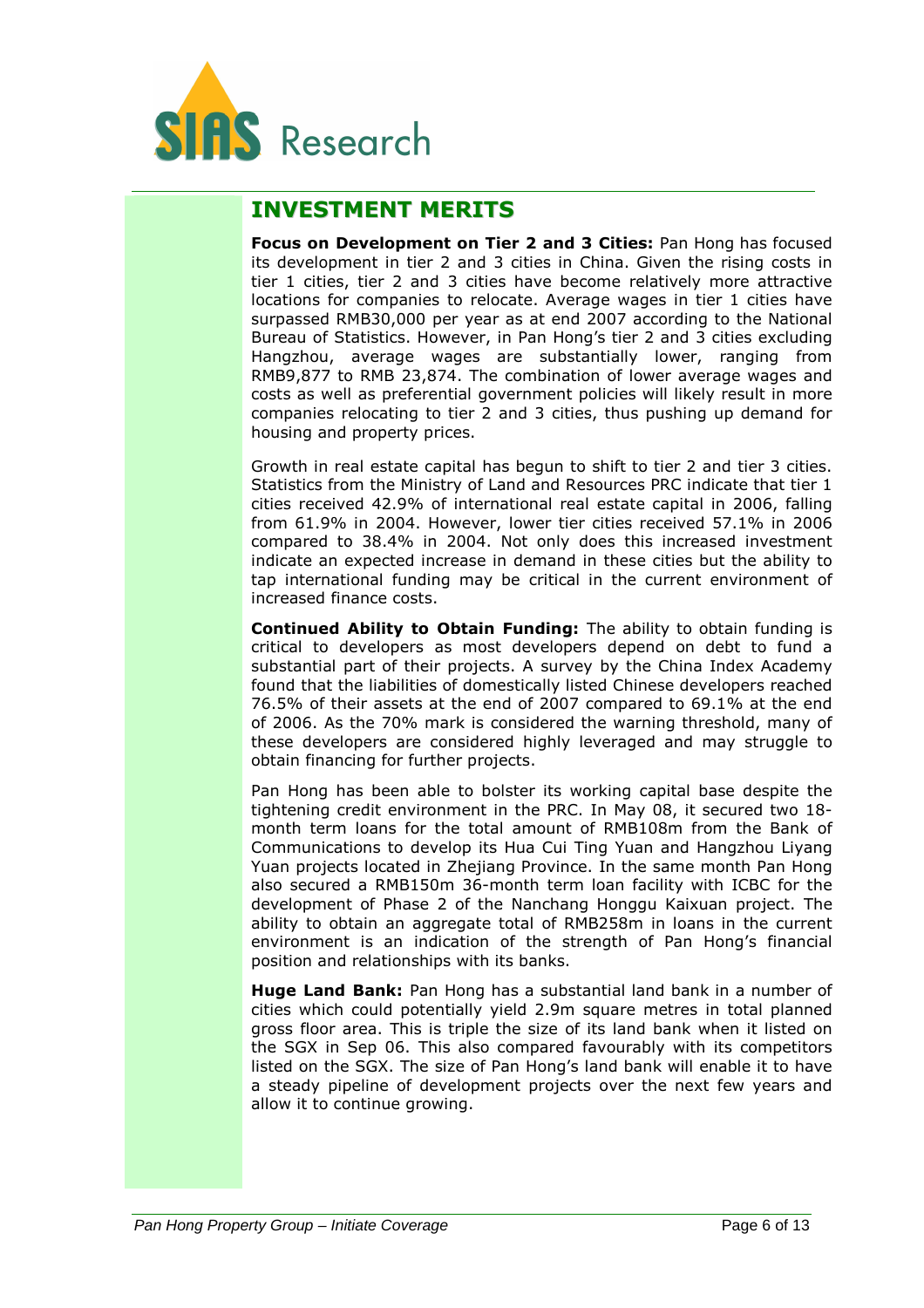

### INVESTMENT MERITS

Focus on Development on Tier 2 and 3 Cities: Pan Hong has focused its development in tier 2 and 3 cities in China. Given the rising costs in tier 1 cities, tier 2 and 3 cities have become relatively more attractive locations for companies to relocate. Average wages in tier 1 cities have surpassed RMB30,000 per year as at end 2007 according to the National Bureau of Statistics. However, in Pan Hong's tier 2 and 3 cities excluding Hangzhou, average wages are substantially lower, ranging from RMB9,877 to RMB 23,874. The combination of lower average wages and costs as well as preferential government policies will likely result in more companies relocating to tier 2 and 3 cities, thus pushing up demand for housing and property prices.

Growth in real estate capital has begun to shift to tier 2 and tier 3 cities. Statistics from the Ministry of Land and Resources PRC indicate that tier 1 cities received 42.9% of international real estate capital in 2006, falling from 61.9% in 2004. However, lower tier cities received 57.1% in 2006 compared to 38.4% in 2004. Not only does this increased investment indicate an expected increase in demand in these cities but the ability to tap international funding may be critical in the current environment of increased finance costs.

Continued Ability to Obtain Funding: The ability to obtain funding is critical to developers as most developers depend on debt to fund a substantial part of their projects. A survey by the China Index Academy found that the liabilities of domestically listed Chinese developers reached 76.5% of their assets at the end of 2007 compared to 69.1% at the end of 2006. As the 70% mark is considered the warning threshold, many of these developers are considered highly leveraged and may struggle to obtain financing for further projects.

Pan Hong has been able to bolster its working capital base despite the tightening credit environment in the PRC. In May 08, it secured two 18 month term loans for the total amount of RMB108m from the Bank of Communications to develop its Hua Cui Ting Yuan and Hangzhou Liyang Yuan projects located in Zhejiang Province. In the same month Pan Hong also secured a RMB150m 36-month term loan facility with ICBC for the development of Phase 2 of the Nanchang Honggu Kaixuan project. The ability to obtain an aggregate total of RMB258m in loans in the current environment is an indication of the strength of Pan Hong's financial position and relationships with its banks.

Huge Land Bank: Pan Hong has a substantial land bank in a number of cities which could potentially yield 2.9m square metres in total planned gross floor area. This is triple the size of its land bank when it listed on the SGX in Sep 06. This also compared favourably with its competitors listed on the SGX. The size of Pan Hong's land bank will enable it to have a steady pipeline of development projects over the next few years and allow it to continue growing.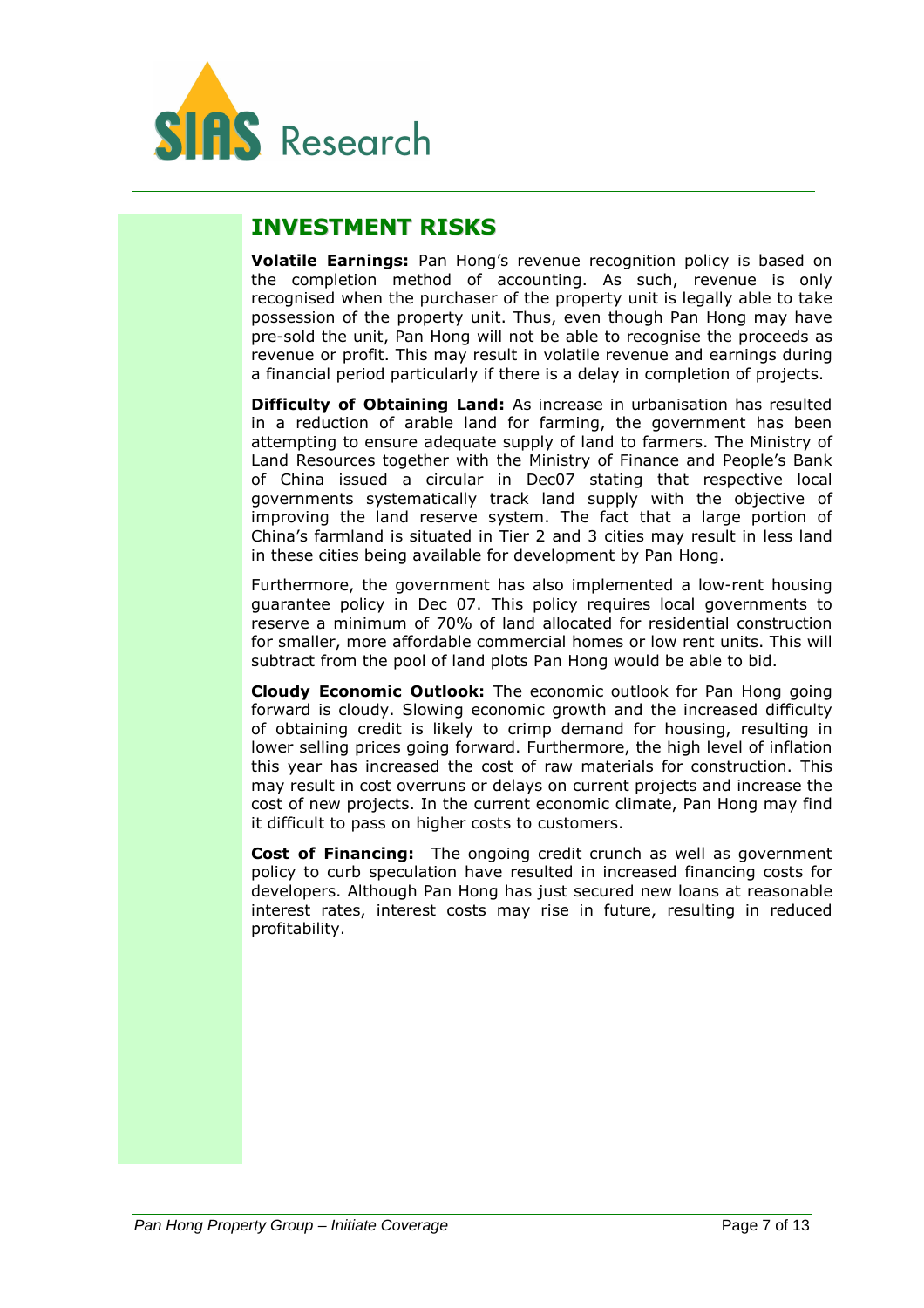

### INVESTMENT RISKS

Volatile Earnings: Pan Hong's revenue recognition policy is based on the completion method of accounting. As such, revenue is only recognised when the purchaser of the property unit is legally able to take possession of the property unit. Thus, even though Pan Hong may have pre-sold the unit, Pan Hong will not be able to recognise the proceeds as revenue or profit. This may result in volatile revenue and earnings during a financial period particularly if there is a delay in completion of projects.

**Difficulty of Obtaining Land:** As increase in urbanisation has resulted in a reduction of arable land for farming, the government has been attempting to ensure adequate supply of land to farmers. The Ministry of Land Resources together with the Ministry of Finance and People's Bank of China issued a circular in Dec07 stating that respective local governments systematically track land supply with the objective of improving the land reserve system. The fact that a large portion of China's farmland is situated in Tier 2 and 3 cities may result in less land in these cities being available for development by Pan Hong.

Furthermore, the government has also implemented a low-rent housing guarantee policy in Dec 07. This policy requires local governments to reserve a minimum of 70% of land allocated for residential construction for smaller, more affordable commercial homes or low rent units. This will subtract from the pool of land plots Pan Hong would be able to bid.

Cloudy Economic Outlook: The economic outlook for Pan Hong going forward is cloudy. Slowing economic growth and the increased difficulty of obtaining credit is likely to crimp demand for housing, resulting in lower selling prices going forward. Furthermore, the high level of inflation this year has increased the cost of raw materials for construction. This may result in cost overruns or delays on current projects and increase the cost of new projects. In the current economic climate, Pan Hong may find it difficult to pass on higher costs to customers.

Cost of Financing: The ongoing credit crunch as well as government policy to curb speculation have resulted in increased financing costs for developers. Although Pan Hong has just secured new loans at reasonable interest rates, interest costs may rise in future, resulting in reduced profitability.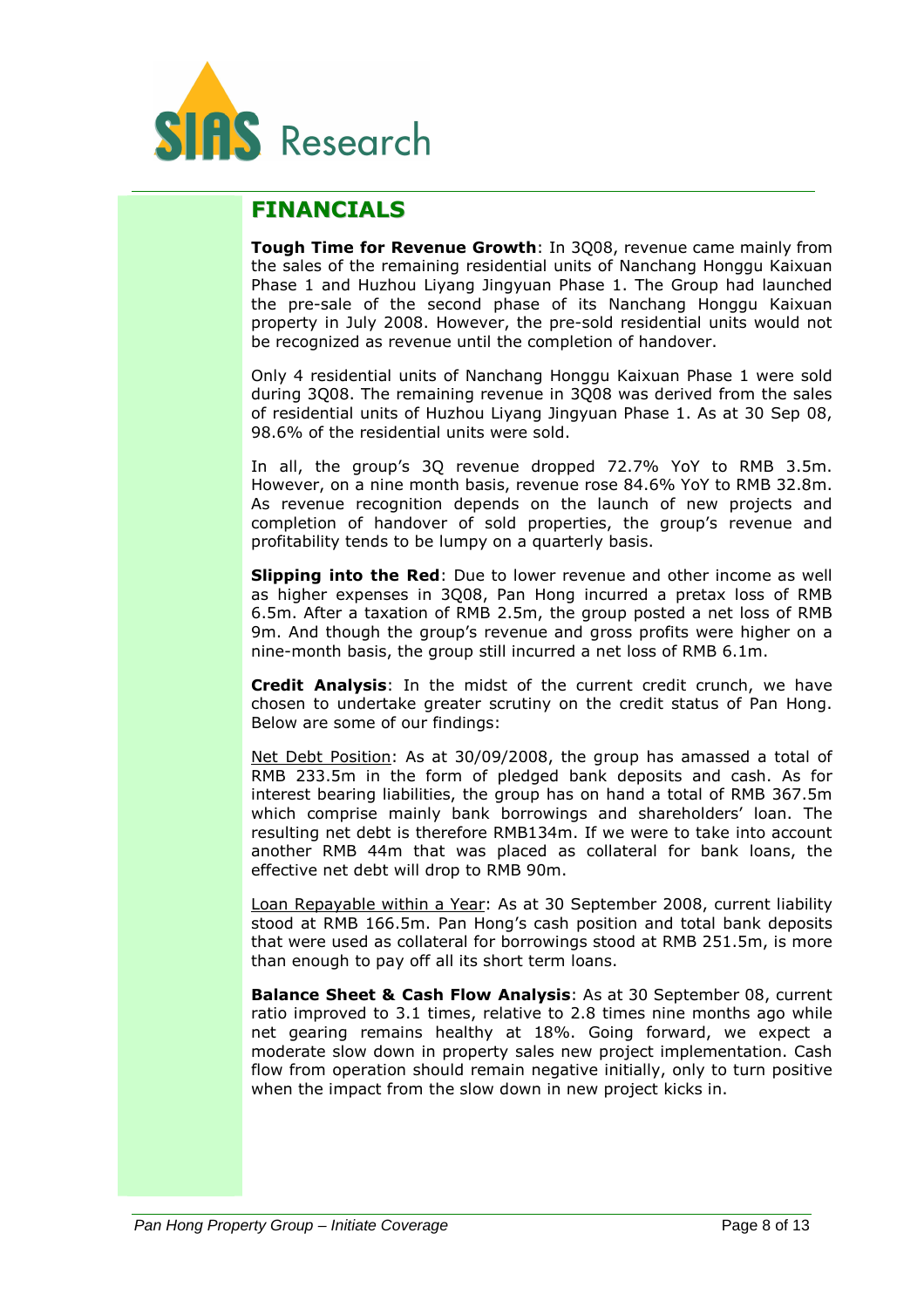

### FINANCIALS

Tough Time for Revenue Growth: In 3Q08, revenue came mainly from the sales of the remaining residential units of Nanchang Honggu Kaixuan Phase 1 and Huzhou Liyang Jingyuan Phase 1. The Group had launched the pre-sale of the second phase of its Nanchang Honggu Kaixuan property in July 2008. However, the pre-sold residential units would not be recognized as revenue until the completion of handover.

Only 4 residential units of Nanchang Honggu Kaixuan Phase 1 were sold during 3Q08. The remaining revenue in 3Q08 was derived from the sales of residential units of Huzhou Liyang Jingyuan Phase 1. As at 30 Sep 08, 98.6% of the residential units were sold.

In all, the group's 3Q revenue dropped 72.7% YoY to RMB 3.5m. However, on a nine month basis, revenue rose 84.6% YoY to RMB 32.8m. As revenue recognition depends on the launch of new projects and completion of handover of sold properties, the group's revenue and profitability tends to be lumpy on a quarterly basis.

**Slipping into the Red:** Due to lower revenue and other income as well as higher expenses in 3Q08, Pan Hong incurred a pretax loss of RMB 6.5m. After a taxation of RMB 2.5m, the group posted a net loss of RMB 9m. And though the group's revenue and gross profits were higher on a nine-month basis, the group still incurred a net loss of RMB 6.1m.

Credit Analysis: In the midst of the current credit crunch, we have chosen to undertake greater scrutiny on the credit status of Pan Hong. Below are some of our findings:

Net Debt Position: As at 30/09/2008, the group has amassed a total of RMB 233.5m in the form of pledged bank deposits and cash. As for interest bearing liabilities, the group has on hand a total of RMB 367.5m which comprise mainly bank borrowings and shareholders' loan. The resulting net debt is therefore RMB134m. If we were to take into account another RMB 44m that was placed as collateral for bank loans, the effective net debt will drop to RMB 90m.

Loan Repayable within a Year: As at 30 September 2008, current liability stood at RMB 166.5m. Pan Hong's cash position and total bank deposits that were used as collateral for borrowings stood at RMB 251.5m, is more than enough to pay off all its short term loans.

Balance Sheet & Cash Flow Analysis: As at 30 September 08, current ratio improved to 3.1 times, relative to 2.8 times nine months ago while net gearing remains healthy at 18%. Going forward, we expect a moderate slow down in property sales new project implementation. Cash flow from operation should remain negative initially, only to turn positive when the impact from the slow down in new project kicks in.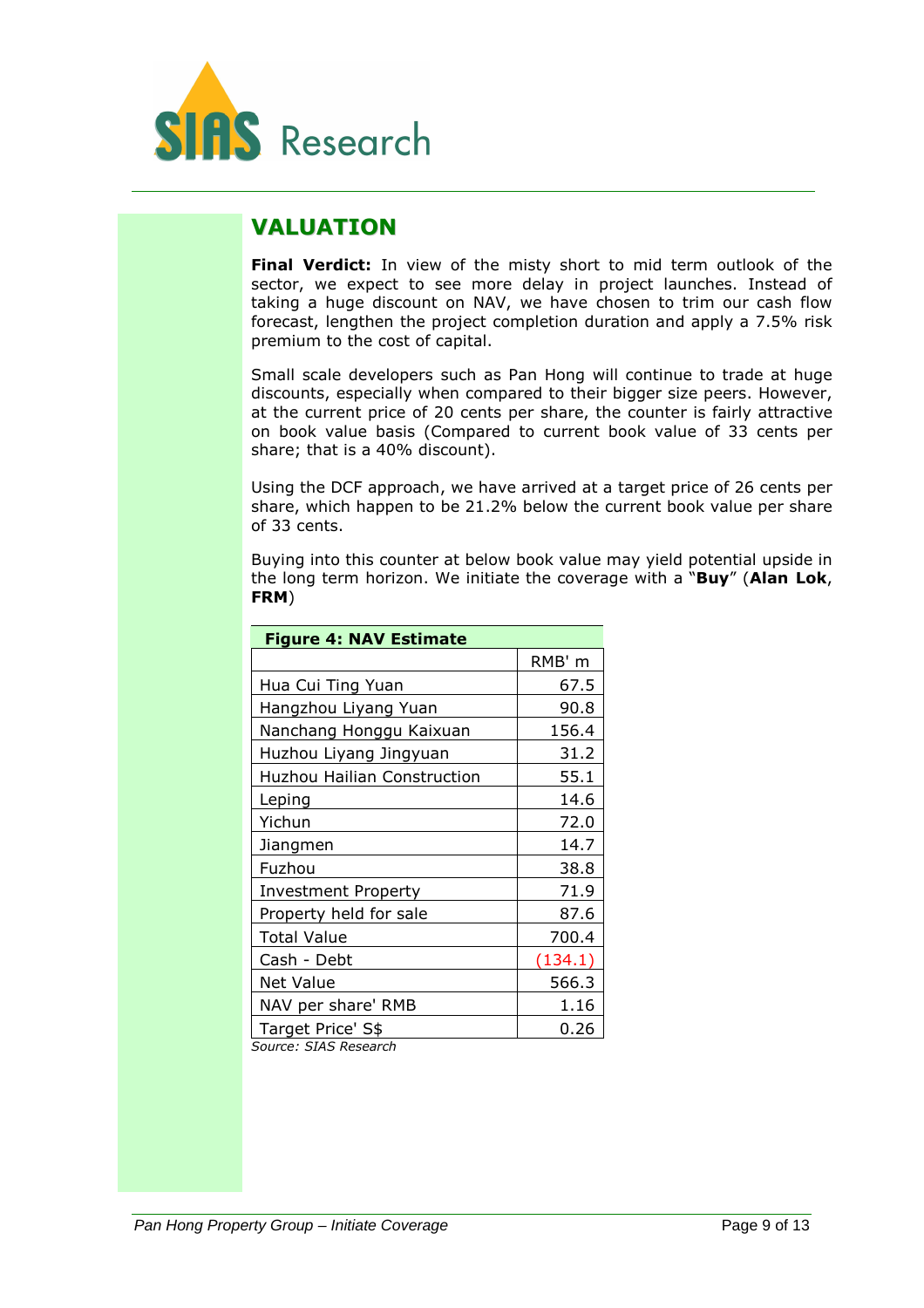

### VALUATION

Final Verdict: In view of the misty short to mid term outlook of the sector, we expect to see more delay in project launches. Instead of taking a huge discount on NAV, we have chosen to trim our cash flow forecast, lengthen the project completion duration and apply a 7.5% risk premium to the cost of capital.

Small scale developers such as Pan Hong will continue to trade at huge discounts, especially when compared to their bigger size peers. However, at the current price of 20 cents per share, the counter is fairly attractive on book value basis (Compared to current book value of 33 cents per share; that is a 40% discount).

Using the DCF approach, we have arrived at a target price of 26 cents per share, which happen to be 21.2% below the current book value per share of 33 cents.

Buying into this counter at below book value may yield potential upside in the long term horizon. We initiate the coverage with a "Buy" (Alan Lok, FRM)

| <b>Figure 4: NAV Estimate</b>                         |         |  |  |  |
|-------------------------------------------------------|---------|--|--|--|
|                                                       | RMB' m  |  |  |  |
| Hua Cui Ting Yuan                                     | 67.5    |  |  |  |
| Hangzhou Liyang Yuan                                  | 90.8    |  |  |  |
| Nanchang Honggu Kaixuan                               | 156.4   |  |  |  |
| Huzhou Liyang Jingyuan                                | 31.2    |  |  |  |
| <b>Huzhou Hailian Construction</b>                    | 55.1    |  |  |  |
| Leping                                                | 14.6    |  |  |  |
| Yichun                                                | 72.0    |  |  |  |
| Jiangmen                                              | 14.7    |  |  |  |
| Fuzhou                                                | 38.8    |  |  |  |
| <b>Investment Property</b>                            | 71.9    |  |  |  |
| Property held for sale                                | 87.6    |  |  |  |
| <b>Total Value</b>                                    | 700.4   |  |  |  |
| Cash - Debt                                           | (134.1) |  |  |  |
| <b>Net Value</b>                                      | 566.3   |  |  |  |
| NAV per share' RMB                                    | 1.16    |  |  |  |
| Target Price' S\$<br>$-1$<br>$\sim$ $C^{TAP}$ $D = -$ | 0.26    |  |  |  |

Source: SIAS Research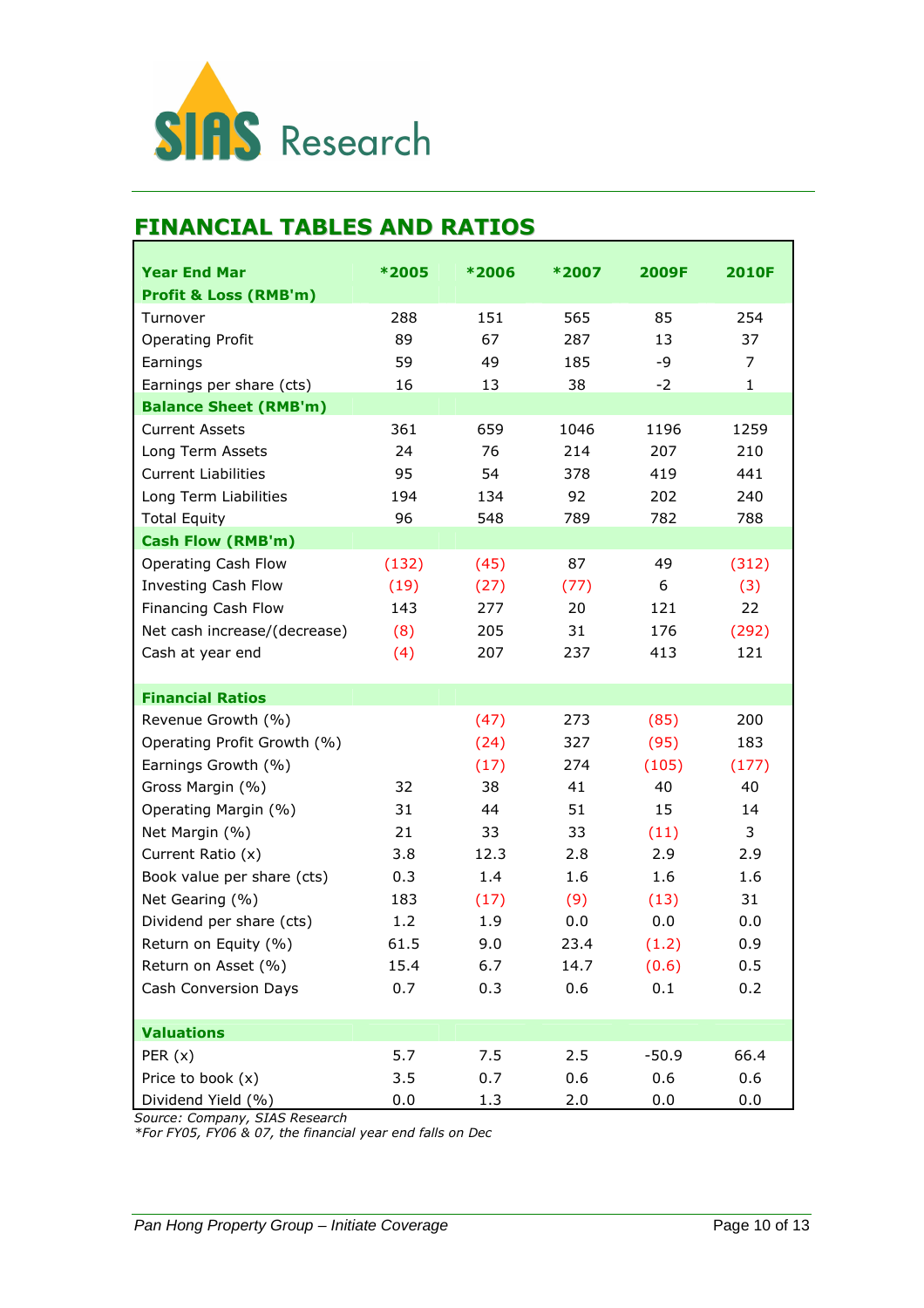

### FINANCIAL TABLES AND RATIOS

| <b>Year End Mar</b>              | *2005 | *2006 | *2007 | 2009F   | <b>2010F</b> |
|----------------------------------|-------|-------|-------|---------|--------------|
| <b>Profit &amp; Loss (RMB'm)</b> |       |       |       |         |              |
| Turnover                         | 288   | 151   | 565   | 85      | 254          |
| <b>Operating Profit</b>          | 89    | 67    | 287   | 13      | 37           |
| Earnings                         | 59    | 49    | 185   | -9      | 7            |
| Earnings per share (cts)         | 16    | 13    | 38    | $-2$    | $\mathbf{1}$ |
| <b>Balance Sheet (RMB'm)</b>     |       |       |       |         |              |
| <b>Current Assets</b>            | 361   | 659   | 1046  | 1196    | 1259         |
| Long Term Assets                 | 24    | 76    | 214   | 207     | 210          |
| <b>Current Liabilities</b>       | 95    | 54    | 378   | 419     | 441          |
| Long Term Liabilities            | 194   | 134   | 92    | 202     | 240          |
| <b>Total Equity</b>              | 96    | 548   | 789   | 782     | 788          |
| <b>Cash Flow (RMB'm)</b>         |       |       |       |         |              |
| Operating Cash Flow              | (132) | (45)  | 87    | 49      | (312)        |
| Investing Cash Flow              | (19)  | (27)  | (77)  | 6       | (3)          |
| Financing Cash Flow              | 143   | 277   | 20    | 121     | 22           |
| Net cash increase/(decrease)     | (8)   | 205   | 31    | 176     | (292)        |
| Cash at year end                 | (4)   | 207   | 237   | 413     | 121          |
|                                  |       |       |       |         |              |
| <b>Financial Ratios</b>          |       |       |       |         |              |
| Revenue Growth (%)               |       | (47)  | 273   | (85)    | 200          |
| Operating Profit Growth (%)      |       | (24)  | 327   | (95)    | 183          |
| Earnings Growth (%)              |       | (17)  | 274   | (105)   | (177)        |
| Gross Margin (%)                 | 32    | 38    | 41    | 40      | 40           |
| Operating Margin (%)             | 31    | 44    | 51    | 15      | 14           |
| Net Margin (%)                   | 21    | 33    | 33    | (11)    | 3            |
| Current Ratio (x)                | 3.8   | 12.3  | 2.8   | 2.9     | 2.9          |
| Book value per share (cts)       | 0.3   | 1.4   | 1.6   | 1.6     | 1.6          |
| Net Gearing (%)                  | 183   | (17)  | (9)   | (13)    | 31           |
| Dividend per share (cts)         | 1.2   | 1.9   | 0.0   | 0.0     | 0.0          |
| Return on Equity (%)             | 61.5  | 9.0   | 23.4  | (1.2)   | 0.9          |
| Return on Asset (%)              | 15.4  | 6.7   | 14.7  | (0.6)   | 0.5          |
| Cash Conversion Days             | 0.7   | 0.3   | 0.6   | 0.1     | 0.2          |
|                                  |       |       |       |         |              |
| <b>Valuations</b>                |       |       |       |         |              |
| PER $(x)$                        | 5.7   | 7.5   | 2.5   | $-50.9$ | 66.4         |
| Price to book (x)                | 3.5   | 0.7   | 0.6   | 0.6     | 0.6          |
| Dividend Yield (%)               | 0.0   | 1.3   | 2.0   | 0.0     | 0.0          |

Source: Company, SIAS Research

\*For FY05, FY06 & 07, the financial year end falls on Dec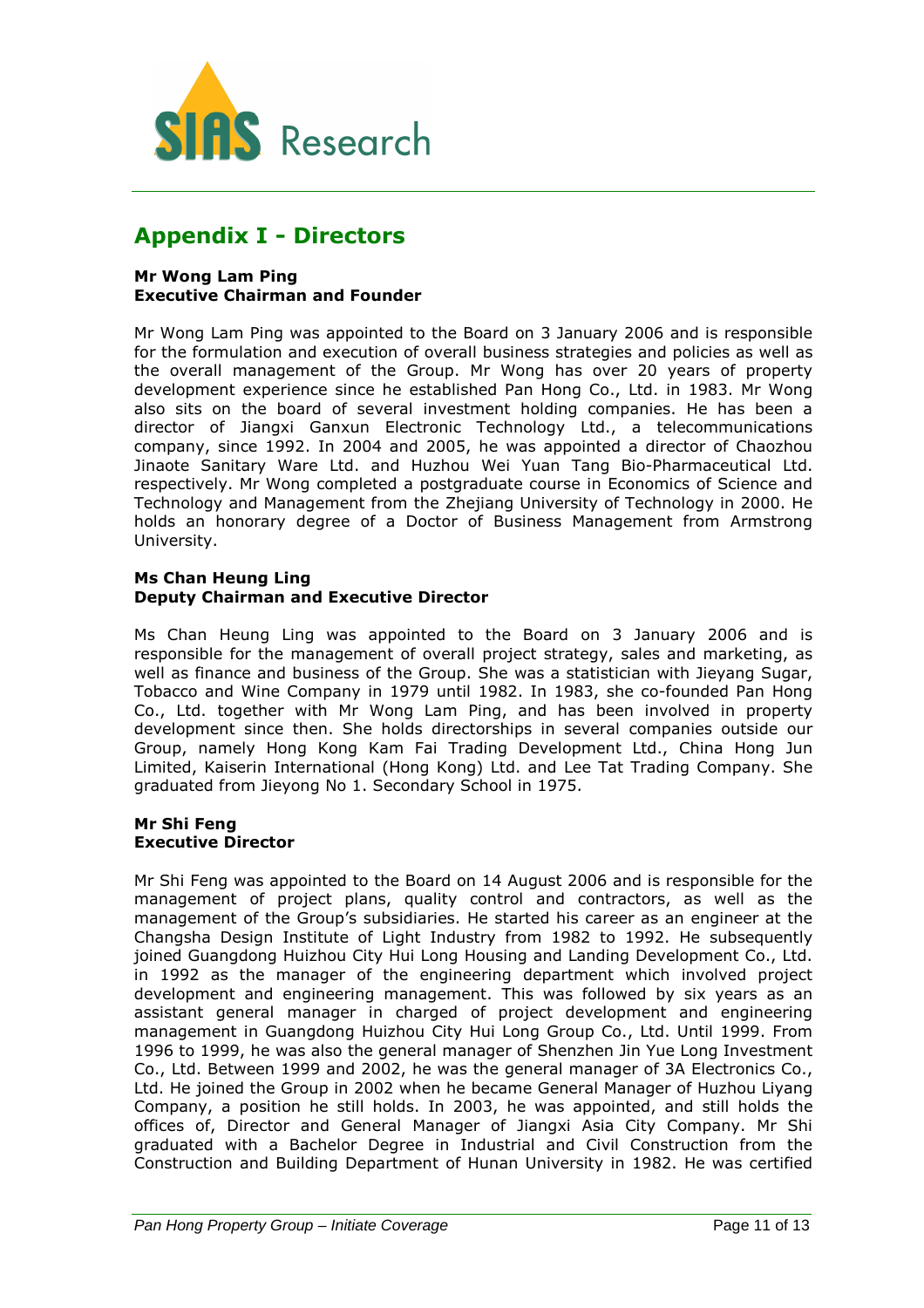

### Appendix I - Directors

#### Mr Wong Lam Ping Executive Chairman and Founder

Mr Wong Lam Ping was appointed to the Board on 3 January 2006 and is responsible for the formulation and execution of overall business strategies and policies as well as the overall management of the Group. Mr Wong has over 20 years of property development experience since he established Pan Hong Co., Ltd. in 1983. Mr Wong also sits on the board of several investment holding companies. He has been a director of Jiangxi Ganxun Electronic Technology Ltd., a telecommunications company, since 1992. In 2004 and 2005, he was appointed a director of Chaozhou Jinaote Sanitary Ware Ltd. and Huzhou Wei Yuan Tang Bio-Pharmaceutical Ltd. respectively. Mr Wong completed a postgraduate course in Economics of Science and Technology and Management from the Zhejiang University of Technology in 2000. He holds an honorary degree of a Doctor of Business Management from Armstrong University.

#### Ms Chan Heung Ling Deputy Chairman and Executive Director

Ms Chan Heung Ling was appointed to the Board on 3 January 2006 and is responsible for the management of overall project strategy, sales and marketing, as well as finance and business of the Group. She was a statistician with Jieyang Sugar, Tobacco and Wine Company in 1979 until 1982. In 1983, she co-founded Pan Hong Co., Ltd. together with Mr Wong Lam Ping, and has been involved in property development since then. She holds directorships in several companies outside our Group, namely Hong Kong Kam Fai Trading Development Ltd., China Hong Jun Limited, Kaiserin International (Hong Kong) Ltd. and Lee Tat Trading Company. She graduated from Jieyong No 1. Secondary School in 1975.

#### Mr Shi Feng Executive Director

Mr Shi Feng was appointed to the Board on 14 August 2006 and is responsible for the management of project plans, quality control and contractors, as well as the management of the Group's subsidiaries. He started his career as an engineer at the Changsha Design Institute of Light Industry from 1982 to 1992. He subsequently joined Guangdong Huizhou City Hui Long Housing and Landing Development Co., Ltd. in 1992 as the manager of the engineering department which involved project development and engineering management. This was followed by six years as an assistant general manager in charged of project development and engineering management in Guangdong Huizhou City Hui Long Group Co., Ltd. Until 1999. From 1996 to 1999, he was also the general manager of Shenzhen Jin Yue Long Investment Co., Ltd. Between 1999 and 2002, he was the general manager of 3A Electronics Co., Ltd. He joined the Group in 2002 when he became General Manager of Huzhou Liyang Company, a position he still holds. In 2003, he was appointed, and still holds the offices of, Director and General Manager of Jiangxi Asia City Company. Mr Shi graduated with a Bachelor Degree in Industrial and Civil Construction from the Construction and Building Department of Hunan University in 1982. He was certified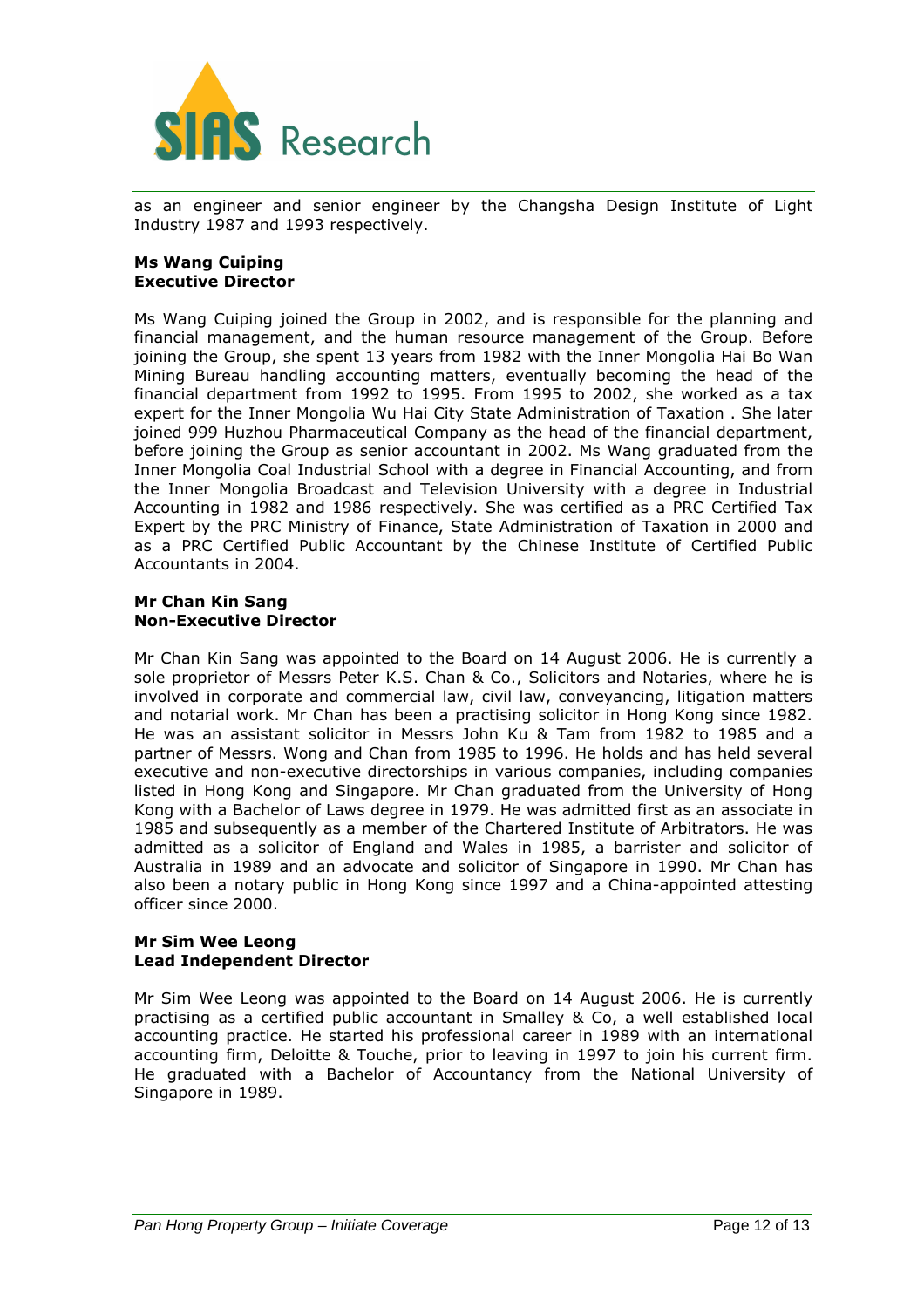

as an engineer and senior engineer by the Changsha Design Institute of Light Industry 1987 and 1993 respectively.

#### Ms Wang Cuiping Executive Director

Ms Wang Cuiping joined the Group in 2002, and is responsible for the planning and financial management, and the human resource management of the Group. Before joining the Group, she spent 13 years from 1982 with the Inner Mongolia Hai Bo Wan Mining Bureau handling accounting matters, eventually becoming the head of the financial department from 1992 to 1995. From 1995 to 2002, she worked as a tax expert for the Inner Mongolia Wu Hai City State Administration of Taxation . She later joined 999 Huzhou Pharmaceutical Company as the head of the financial department, before joining the Group as senior accountant in 2002. Ms Wang graduated from the Inner Mongolia Coal Industrial School with a degree in Financial Accounting, and from the Inner Mongolia Broadcast and Television University with a degree in Industrial Accounting in 1982 and 1986 respectively. She was certified as a PRC Certified Tax Expert by the PRC Ministry of Finance, State Administration of Taxation in 2000 and as a PRC Certified Public Accountant by the Chinese Institute of Certified Public Accountants in 2004.

#### Mr Chan Kin Sang Non-Executive Director

Mr Chan Kin Sang was appointed to the Board on 14 August 2006. He is currently a sole proprietor of Messrs Peter K.S. Chan & Co., Solicitors and Notaries, where he is involved in corporate and commercial law, civil law, conveyancing, litigation matters and notarial work. Mr Chan has been a practising solicitor in Hong Kong since 1982. He was an assistant solicitor in Messrs John Ku & Tam from 1982 to 1985 and a partner of Messrs. Wong and Chan from 1985 to 1996. He holds and has held several executive and non-executive directorships in various companies, including companies listed in Hong Kong and Singapore. Mr Chan graduated from the University of Hong Kong with a Bachelor of Laws degree in 1979. He was admitted first as an associate in 1985 and subsequently as a member of the Chartered Institute of Arbitrators. He was admitted as a solicitor of England and Wales in 1985, a barrister and solicitor of Australia in 1989 and an advocate and solicitor of Singapore in 1990. Mr Chan has also been a notary public in Hong Kong since 1997 and a China-appointed attesting officer since 2000.

#### Mr Sim Wee Leong Lead Independent Director

Mr Sim Wee Leong was appointed to the Board on 14 August 2006. He is currently practising as a certified public accountant in Smalley & Co, a well established local accounting practice. He started his professional career in 1989 with an international accounting firm, Deloitte & Touche, prior to leaving in 1997 to join his current firm. He graduated with a Bachelor of Accountancy from the National University of Singapore in 1989.